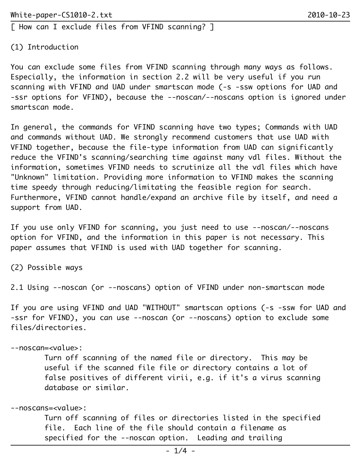[ How can I exclude files from VFIND scanning? ]

## (1) Introduction

You can exclude some files from VFIND scanning through many ways as follows. Especially, the information in section 2.2 will be very useful if you run scanning with VFIND and UAD under smartscan mode (-s -ssw options for UAD and -ssr options for VFIND), because the --noscan/--noscans option is ignored under smartscan mode.

In general, the commands for VFIND scanning have two types; Commands with UAD and commands without UAD. We strongly recommend customers that use UAD with VFIND together, because the file-type information from UAD can significantly reduce the VFIND's scanning/searching time against many vdl files. Without the information, sometimes VFIND needs to scrutinize all the vdl files which have "Unknown" limitation. Providing more information to VFIND makes the scanning time speedy through reducing/limitating the feasible region for search. Furthermore, VFIND cannot handle/expand an archive file by itself, and need a support from UAD.

If you use only VFIND for scanning, you just need to use --noscan/--noscans option for VFIND, and the information in this paper is not necessary. This paper assumes that VFIND is used with UAD together for scanning.

(2) Possible ways

2.1 Using --noscan (or --noscans) option of VFIND under non-smartscan mode

If you are using VFIND and UAD "WITHOUT" smartscan options (-s -ssw for UAD and -ssr for VFIND), you can use --noscan (or --noscans) option to exclude some files/directories.

--noscan=<value>:

 Turn off scanning of the named file or directory. This may be useful if the scanned file file or directory contains a lot of false positives of different virii, e.g. if it's a virus scanning database or similar.

--noscans=<value>:

 Turn off scanning of files or directories listed in the specified file. Each line of the file should contain a filename as specified for the --noscan option. Leading and trailing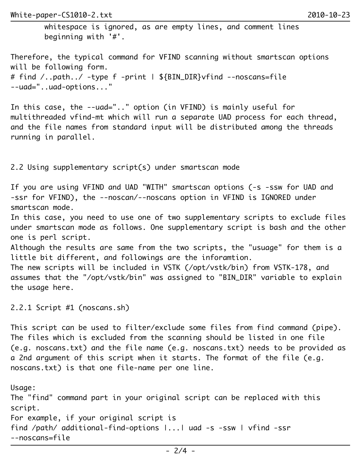whitespace is ignored, as are empty lines, and comment lines beginning with '#'.

Therefore, the typical command for VFIND scanning without smartscan options will be following form. # find /..path../ -type f -print | \${BIN\_DIR}vfind --noscans=file --uad="..uad-options..."

In this case, the --uad=".." option (in VFIND) is mainly useful for multithreaded vfind-mt which will run a separate UAD process for each thread, and the file names from standard input will be distributed among the threads running in parallel.

2.2 Using supplementary script(s) under smartscan mode

If you are using VFIND and UAD "WITH" smartscan options (-s -ssw for UAD and -ssr for VFIND), the --noscan/--noscans option in VFIND is IGNORED under smartscan mode.

In this case, you need to use one of two supplementary scripts to exclude files under smartscan mode as follows. One supplementary script is bash and the other one is perl script.

Although the results are same from the two scripts, the "usuage" for them is a little bit different, and followings are the inforamtion.

The new scripts will be included in VSTK (/opt/vstk/bin) from VSTK-178, and assumes that the "/opt/vstk/bin" was assigned to "BIN\_DIR" variable to explain the usage here.

2.2.1 Script #1 (noscans.sh)

This script can be used to filter/exclude some files from find command (pipe). The files which is excluded from the scanning should be listed in one file (e.g. noscans.txt) and the file name (e.g. noscans.txt) needs to be provided as a 2nd argument of this script when it starts. The format of the file (e.g. noscans.txt) is that one file-name per one line.

Usage: The "find" command part in your original script can be replaced with this script. For example, if your original script is find /path/ additional-find-options |...| uad -s -ssw | vfind -ssr --noscans=file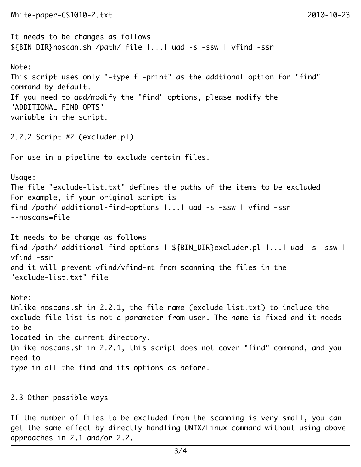It needs to be changes as follows \${BIN\_DIR}noscan.sh /path/ file |...| uad -s -ssw | vfind -ssr Note: This script uses only "-type f -print" as the addtional option for "find" command by default. If you need to add/modify the "find" options, please modify the "ADDITIONAL\_FIND\_OPTS" variable in the script. 2.2.2 Script #2 (excluder.pl) For use in a pipeline to exclude certain files. Usage: The file "exclude-list.txt" defines the paths of the items to be excluded For example, if your original script is find /path/ additional-find-options |...| uad -s -ssw | vfind -ssr --noscans=file It needs to be change as follows find /path/ additional-find-options | \${BIN\_DIR}excluder.pl |...| uad -s -ssw | vfind -ssr and it will prevent vfind/vfind-mt from scanning the files in the "exclude-list.txt" file Note: Unlike noscans.sh in 2.2.1, the file name (exclude-list.txt) to include the exclude-file-list is not a parameter from user. The name is fixed and it needs to be located in the current directory. Unlike noscans.sh in 2.2.1, this script does not cover "find" command, and you need to type in all the find and its options as before.

2.3 Other possible ways

If the number of files to be excluded from the scanning is very small, you can get the same effect by directly handling UNIX/Linux command without using above approaches in 2.1 and/or 2.2.